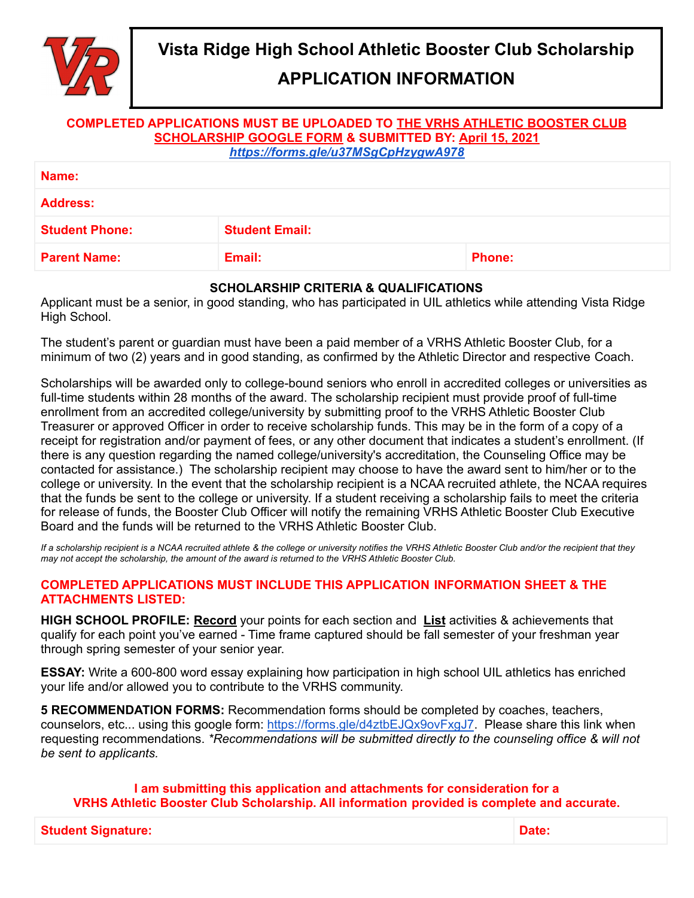

## **APPLICATION INFORMATION**

#### **COMPLETED APPLICATIONS MUST BE UPLOADED TO THE VRHS ATHLETIC [BOOSTER](https://forms.gle/u37MSgCpHzygwA978) CLUB [SCHOLARSHIP](https://forms.gle/u37MSgCpHzygwA978) GOOGLE FORM & SUBMITTED BY: April 15, 2021**

*<https://forms.gle/u37MSgCpHzygwA978>*

| Name:                 |                       |               |  |
|-----------------------|-----------------------|---------------|--|
| <b>Address:</b>       |                       |               |  |
| <b>Student Phone:</b> | <b>Student Email:</b> |               |  |
| <b>Parent Name:</b>   | Email:                | <b>Phone:</b> |  |

#### **SCHOLARSHIP CRITERIA & QUALIFICATIONS**

Applicant must be a senior, in good standing, who has participated in UIL athletics while attending Vista Ridge High School.

The student's parent or guardian must have been a paid member of a VRHS Athletic Booster Club, for a minimum of two (2) years and in good standing, as confirmed by the Athletic Director and respective Coach.

Scholarships will be awarded only to college-bound seniors who enroll in accredited colleges or universities as full-time students within 28 months of the award. The scholarship recipient must provide proof of full-time enrollment from an accredited college/university by submitting proof to the VRHS Athletic Booster Club Treasurer or approved Officer in order to receive scholarship funds. This may be in the form of a copy of a receipt for registration and/or payment of fees, or any other document that indicates a student's enrollment. (If there is any question regarding the named college/university's accreditation, the Counseling Office may be contacted for assistance.) The scholarship recipient may choose to have the award sent to him/her or to the college or university. In the event that the scholarship recipient is a NCAA recruited athlete, the NCAA requires that the funds be sent to the college or university. If a student receiving a scholarship fails to meet the criteria for release of funds, the Booster Club Officer will notify the remaining VRHS Athletic Booster Club Executive Board and the funds will be returned to the VRHS Athletic Booster Club.

If a scholarship recipient is a NCAA recruited athlete & the college or university notifies the VRHS Athletic Booster Club and/or the recipient that they may not accept the scholarship, the amount of the award is returned to the VRHS Athletic Booster Club.

#### **COMPLETED APPLICATIONS MUST INCLUDE THIS APPLICATION INFORMATION SHEET & THE ATTACHMENTS LISTED:**

**HIGH SCHOOL PROFILE: Record** your points for each section and **List** activities & achievements that qualify for each point you've earned - Time frame captured should be fall semester of your freshman year through spring semester of your senior year.

**ESSAY:** Write a 600-800 word essay explaining how participation in high school UIL athletics has enriched your life and/or allowed you to contribute to the VRHS community.

**5 RECOMMENDATION FORMS:** Recommendation forms should be completed by coaches, teachers, counselors, etc... using this google form: <https://forms.gle/d4ztbEJQx9ovFxgJ7>. Please share this link when requesting recommendations. *\*Recommendations will be submitted directly to the counseling office & will not be sent to applicants.*

**I am submitting this application and attachments for consideration for a VRHS Athletic Booster Club Scholarship. All information provided is complete and accurate.**

**Student Signature: Date:**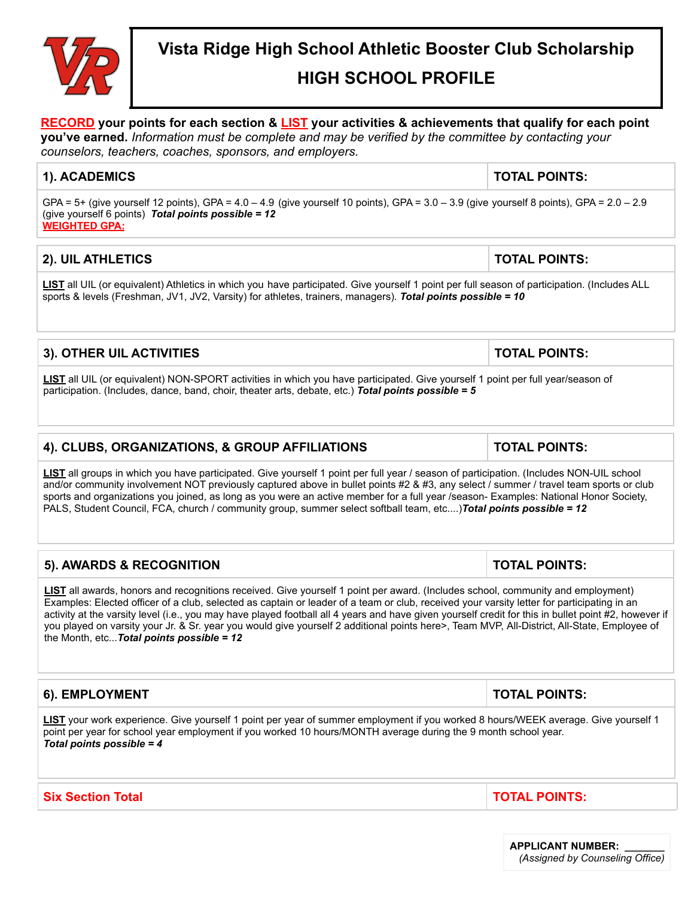# **Vista Ridge High School Athletic Booster Club Scholarship HIGH SCHOOL PROFILE**

# **RECORD your points for each section & LIST your activities & achievements that qualify for each point**

**you've earned.** *Information must be complete and may be verified by the committee by contacting your counselors, teachers, coaches, sponsors, and employers.*

#### **1). ACADEMICS TOTAL POINTS:**

GPA =  $5+$  (give yourself 12 points), GPA =  $4.0 - 4.9$  (give yourself 10 points), GPA =  $3.0 - 3.9$  (give yourself 8 points), GPA =  $2.0 - 2.9$ (give yourself 6 points) *Total points possible = 12* **WEIGHTED GPA:**

#### **2). UIL ATHLETICS TOTAL POINTS:**

**LIST** all UIL (or equivalent) Athletics in which you have participated. Give yourself 1 point per full season of participation. (Includes ALL sports & levels (Freshman, JV1, JV2, Varsity) for athletes, trainers, managers). *Total points possible = 10*

#### **3). OTHER UIL ACTIVITIES TOTAL POINTS:**

**LIST** all UIL (or equivalent) NON-SPORT activities in which you have participated. Give yourself 1 point per full year/season of participation. (Includes, dance, band, choir, theater arts, debate, etc.) *Total points possible = 5*

#### **4). CLUBS, ORGANIZATIONS, & GROUP AFFILIATIONS TOTAL POINTS:**

**LIST** all groups in which you have participated. Give yourself 1 point per full year / season of participation. (Includes NON-UIL school and/or community involvement NOT previously captured above in bullet points #2 & #3, any select / summer / travel team sports or club sports and organizations you joined, as long as you were an active member for a full year /season- Examples: National Honor Society, PALS, Student Council, FCA, church / community group, summer select softball team, etc....)*Total points possible = 12*

| $^{\circ}$ 5). AWARDS & RECOGNITION                                                                                                    | <b>TOTAL POINTS:</b> |
|----------------------------------------------------------------------------------------------------------------------------------------|----------------------|
| <b>LIST</b> all awards, honors and recognitions received. Give yourself 1 point per award. (Includes school, community and employment) |                      |

Examples: Elected officer of a club, selected as captain or leader of a team or club, received your varsity letter for participating in an activity at the varsity level (i.e., you may have played football all 4 years and have given yourself credit for this in bullet point #2, however if you played on varsity your Jr. & Sr. year you would give yourself 2 additional points here>, Team MVP, All-District, All-State, Employee of the Month, etc...*Total points possible = 12*

#### **6). EMPLOYMENT TOTAL POINTS:**

**LIST** your work experience. Give yourself 1 point per year of summer employment if you worked 8 hours/WEEK average. Give yourself 1 point per year for school year employment if you worked 10 hours/MONTH average during the 9 month school year. *Total points possible = 4*

**Six Section Total TOTAL POINTS:**